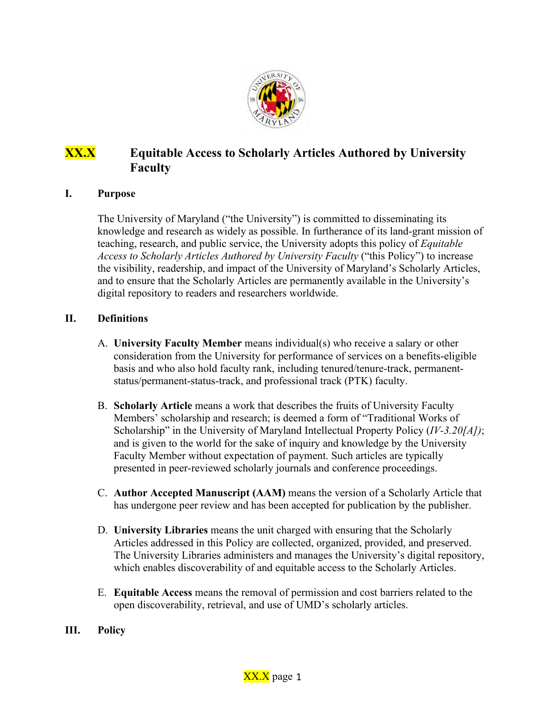

## **XX.X Equitable Access to Scholarly Articles Authored by University Faculty**

## **I. Purpose**

The University of Maryland ("the University") is committed to disseminating its knowledge and research as widely as possible. In furtherance of its land-grant mission of teaching, research, and public service, the University adopts this policy of *Equitable Access to Scholarly Articles Authored by University Faculty* ("this Policy") to increase the visibility, readership, and impact of the University of Maryland's Scholarly Articles, and to ensure that the Scholarly Articles are permanently available in the University's digital repository to readers and researchers worldwide.

## **II. Definitions**

- A. **University Faculty Member** means individual(s) who receive a salary or other consideration from the University for performance of services on a benefits-eligible basis and who also hold faculty rank, including tenured/tenure-track, permanentstatus/permanent-status-track, and professional track (PTK) faculty.
- B. **Scholarly Article** means a work that describes the fruits of University Faculty Members' scholarship and research; is deemed a form of "Traditional Works of Scholarship" in the University of Maryland Intellectual Property Policy (*IV-3.20[A])*; and is given to the world for the sake of inquiry and knowledge by the University Faculty Member without expectation of payment. Such articles are typically presented in peer-reviewed scholarly journals and conference proceedings.
- C. **Author Accepted Manuscript (AAM)** means the version of a Scholarly Article that has undergone peer review and has been accepted for publication by the publisher.
- D. **University Libraries** means the unit charged with ensuring that the Scholarly Articles addressed in this Policy are collected, organized, provided, and preserved. The University Libraries administers and manages the University's digital repository, which enables discoverability of and equitable access to the Scholarly Articles.
- E. **Equitable Access** means the removal of permission and cost barriers related to the open discoverability, retrieval, and use of UMD's scholarly articles.
- **III. Policy**

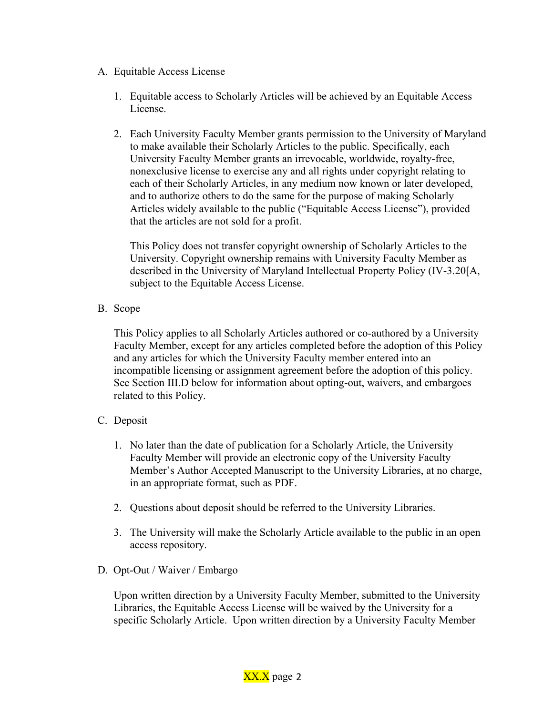- A. Equitable Access License
	- 1. Equitable access to Scholarly Articles will be achieved by an Equitable Access License.
	- 2. Each University Faculty Member grants permission to the University of Maryland to make available their Scholarly Articles to the public. Specifically, each University Faculty Member grants an irrevocable, worldwide, royalty-free, nonexclusive license to exercise any and all rights under copyright relating to each of their Scholarly Articles, in any medium now known or later developed, and to authorize others to do the same for the purpose of making Scholarly Articles widely available to the public ("Equitable Access License"), provided that the articles are not sold for a profit.

This Policy does not transfer copyright ownership of Scholarly Articles to the University. Copyright ownership remains with University Faculty Member as described in the University of Maryland Intellectual Property Policy (IV-3.20[A, subject to the Equitable Access License.

B. Scope

This Policy applies to all Scholarly Articles authored or co-authored by a University Faculty Member, except for any articles completed before the adoption of this Policy and any articles for which the University Faculty member entered into an incompatible licensing or assignment agreement before the adoption of this policy. See Section III.D below for information about opting-out, waivers, and embargoes related to this Policy.

- C. Deposit
	- 1. No later than the date of publication for a Scholarly Article, the University Faculty Member will provide an electronic copy of the University Faculty Member's Author Accepted Manuscript to the University Libraries, at no charge, in an appropriate format, such as PDF.
	- 2. Questions about deposit should be referred to the University Libraries.
	- 3. The University will make the Scholarly Article available to the public in an open access repository.
- D. Opt-Out / Waiver / Embargo

Upon written direction by a University Faculty Member, submitted to the University Libraries, the Equitable Access License will be waived by the University for a specific Scholarly Article. Upon written direction by a University Faculty Member